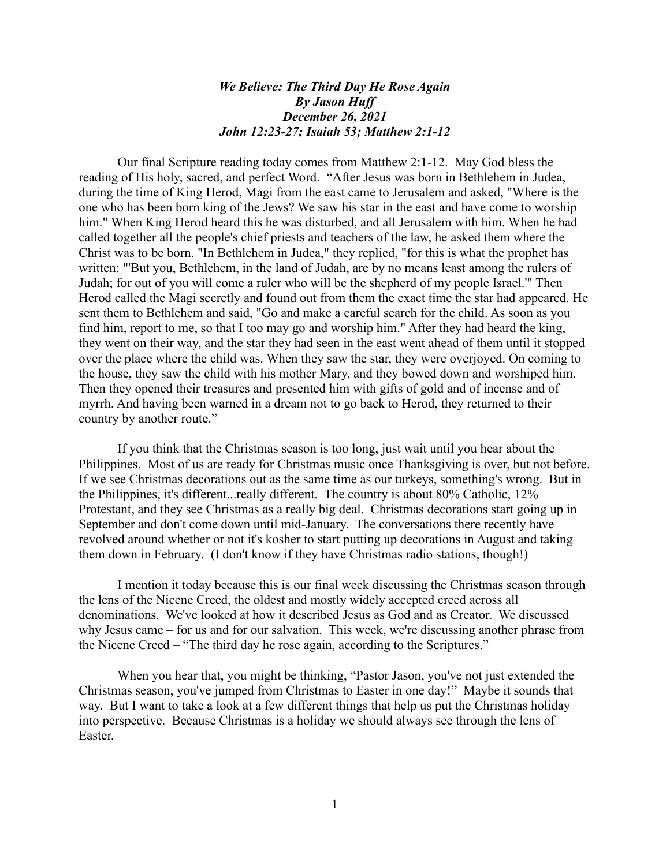## *We Believe: The Third Day He Rose Again By Jason Huff December 26, 2021 John 12:23-27; Isaiah 53; Matthew 2:1-12*

Our final Scripture reading today comes from Matthew 2:1-12. May God bless the reading of His holy, sacred, and perfect Word. "After Jesus was born in Bethlehem in Judea, during the time of King Herod, Magi from the east came to Jerusalem and asked, "Where is the one who has been born king of the Jews? We saw his star in the east and have come to worship him." When King Herod heard this he was disturbed, and all Jerusalem with him. When he had called together all the people's chief priests and teachers of the law, he asked them where the Christ was to be born. "In Bethlehem in Judea," they replied, "for this is what the prophet has written: "'But you, Bethlehem, in the land of Judah, are by no means least among the rulers of Judah; for out of you will come a ruler who will be the shepherd of my people Israel.'" Then Herod called the Magi secretly and found out from them the exact time the star had appeared. He sent them to Bethlehem and said, "Go and make a careful search for the child. As soon as you find him, report to me, so that I too may go and worship him." After they had heard the king, they went on their way, and the star they had seen in the east went ahead of them until it stopped over the place where the child was. When they saw the star, they were overjoyed. On coming to the house, they saw the child with his mother Mary, and they bowed down and worshiped him. Then they opened their treasures and presented him with gifts of gold and of incense and of myrrh. And having been warned in a dream not to go back to Herod, they returned to their country by another route."

If you think that the Christmas season is too long, just wait until you hear about the Philippines. Most of us are ready for Christmas music once Thanksgiving is over, but not before. If we see Christmas decorations out as the same time as our turkeys, something's wrong. But in the Philippines, it's different...really different. The country is about 80% Catholic, 12% Protestant, and they see Christmas as a really big deal. Christmas decorations start going up in September and don't come down until mid-January. The conversations there recently have revolved around whether or not it's kosher to start putting up decorations in August and taking them down in February. (I don't know if they have Christmas radio stations, though!)

I mention it today because this is our final week discussing the Christmas season through the lens of the Nicene Creed, the oldest and mostly widely accepted creed across all denominations. We've looked at how it described Jesus as God and as Creator. We discussed why Jesus came – for us and for our salvation. This week, we're discussing another phrase from the Nicene Creed – "The third day he rose again, according to the Scriptures."

When you hear that, you might be thinking, "Pastor Jason, you've not just extended the Christmas season, you've jumped from Christmas to Easter in one day!" Maybe it sounds that way. But I want to take a look at a few different things that help us put the Christmas holiday into perspective. Because Christmas is a holiday we should always see through the lens of Easter.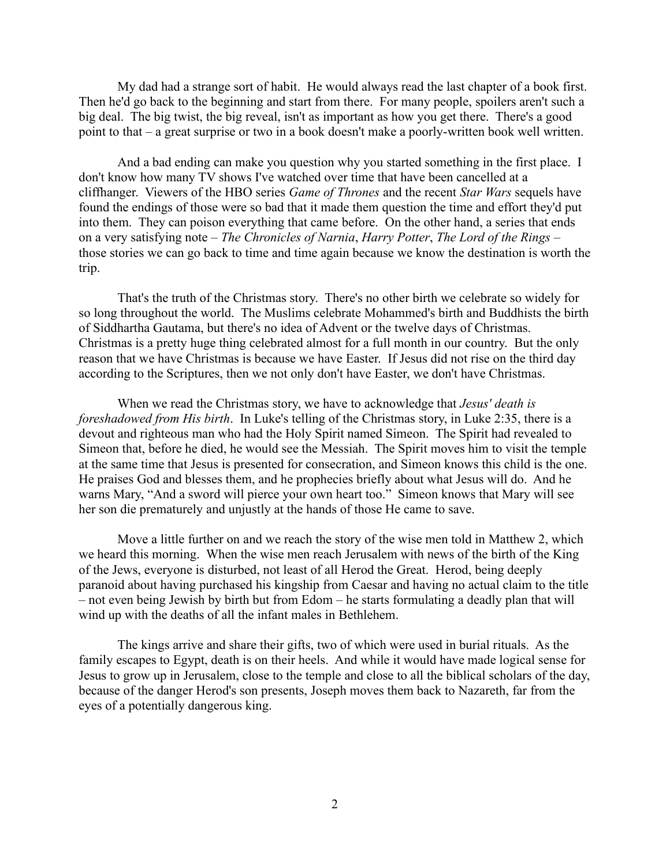My dad had a strange sort of habit. He would always read the last chapter of a book first. Then he'd go back to the beginning and start from there. For many people, spoilers aren't such a big deal. The big twist, the big reveal, isn't as important as how you get there. There's a good point to that – a great surprise or two in a book doesn't make a poorly-written book well written.

And a bad ending can make you question why you started something in the first place. I don't know how many TV shows I've watched over time that have been cancelled at a cliffhanger. Viewers of the HBO series *Game of Thrones* and the recent *Star Wars* sequels have found the endings of those were so bad that it made them question the time and effort they'd put into them. They can poison everything that came before. On the other hand, a series that ends on a very satisfying note – *The Chronicles of Narnia*, *Harry Potter*, *The Lord of the Rings* – those stories we can go back to time and time again because we know the destination is worth the trip.

That's the truth of the Christmas story. There's no other birth we celebrate so widely for so long throughout the world. The Muslims celebrate Mohammed's birth and Buddhists the birth of Siddhartha Gautama, but there's no idea of Advent or the twelve days of Christmas. Christmas is a pretty huge thing celebrated almost for a full month in our country. But the only reason that we have Christmas is because we have Easter. If Jesus did not rise on the third day according to the Scriptures, then we not only don't have Easter, we don't have Christmas.

When we read the Christmas story, we have to acknowledge that *Jesus' death is foreshadowed from His birth*. In Luke's telling of the Christmas story, in Luke 2:35, there is a devout and righteous man who had the Holy Spirit named Simeon. The Spirit had revealed to Simeon that, before he died, he would see the Messiah. The Spirit moves him to visit the temple at the same time that Jesus is presented for consecration, and Simeon knows this child is the one. He praises God and blesses them, and he prophecies briefly about what Jesus will do. And he warns Mary, "And a sword will pierce your own heart too." Simeon knows that Mary will see her son die prematurely and unjustly at the hands of those He came to save.

Move a little further on and we reach the story of the wise men told in Matthew 2, which we heard this morning. When the wise men reach Jerusalem with news of the birth of the King of the Jews, everyone is disturbed, not least of all Herod the Great. Herod, being deeply paranoid about having purchased his kingship from Caesar and having no actual claim to the title – not even being Jewish by birth but from Edom – he starts formulating a deadly plan that will wind up with the deaths of all the infant males in Bethlehem.

The kings arrive and share their gifts, two of which were used in burial rituals. As the family escapes to Egypt, death is on their heels. And while it would have made logical sense for Jesus to grow up in Jerusalem, close to the temple and close to all the biblical scholars of the day, because of the danger Herod's son presents, Joseph moves them back to Nazareth, far from the eyes of a potentially dangerous king.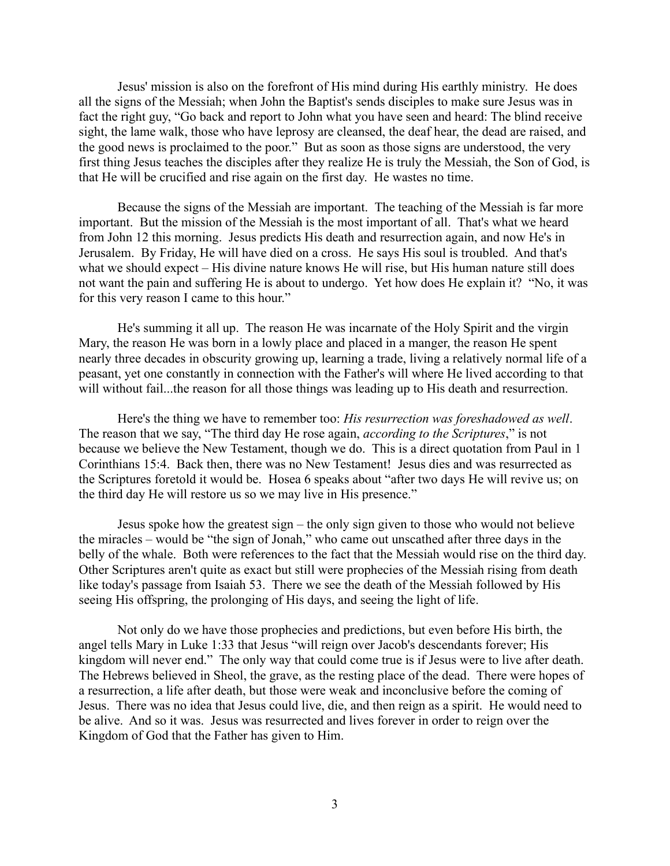Jesus' mission is also on the forefront of His mind during His earthly ministry. He does all the signs of the Messiah; when John the Baptist's sends disciples to make sure Jesus was in fact the right guy, "Go back and report to John what you have seen and heard: The blind receive sight, the lame walk, those who have leprosy are cleansed, the deaf hear, the dead are raised, and the good news is proclaimed to the poor." But as soon as those signs are understood, the very first thing Jesus teaches the disciples after they realize He is truly the Messiah, the Son of God, is that He will be crucified and rise again on the first day. He wastes no time.

Because the signs of the Messiah are important. The teaching of the Messiah is far more important. But the mission of the Messiah is the most important of all. That's what we heard from John 12 this morning. Jesus predicts His death and resurrection again, and now He's in Jerusalem. By Friday, He will have died on a cross. He says His soul is troubled. And that's what we should expect – His divine nature knows He will rise, but His human nature still does not want the pain and suffering He is about to undergo. Yet how does He explain it? "No, it was for this very reason I came to this hour."

He's summing it all up. The reason He was incarnate of the Holy Spirit and the virgin Mary, the reason He was born in a lowly place and placed in a manger, the reason He spent nearly three decades in obscurity growing up, learning a trade, living a relatively normal life of a peasant, yet one constantly in connection with the Father's will where He lived according to that will without fail...the reason for all those things was leading up to His death and resurrection.

Here's the thing we have to remember too: *His resurrection was foreshadowed as well*. The reason that we say, "The third day He rose again, *according to the Scriptures*," is not because we believe the New Testament, though we do. This is a direct quotation from Paul in 1 Corinthians 15:4. Back then, there was no New Testament! Jesus dies and was resurrected as the Scriptures foretold it would be. Hosea 6 speaks about "after two days He will revive us; on the third day He will restore us so we may live in His presence."

Jesus spoke how the greatest sign – the only sign given to those who would not believe the miracles – would be "the sign of Jonah," who came out unscathed after three days in the belly of the whale. Both were references to the fact that the Messiah would rise on the third day. Other Scriptures aren't quite as exact but still were prophecies of the Messiah rising from death like today's passage from Isaiah 53. There we see the death of the Messiah followed by His seeing His offspring, the prolonging of His days, and seeing the light of life.

Not only do we have those prophecies and predictions, but even before His birth, the angel tells Mary in Luke 1:33 that Jesus "will reign over Jacob's descendants forever; His kingdom will never end." The only way that could come true is if Jesus were to live after death. The Hebrews believed in Sheol, the grave, as the resting place of the dead. There were hopes of a resurrection, a life after death, but those were weak and inconclusive before the coming of Jesus. There was no idea that Jesus could live, die, and then reign as a spirit. He would need to be alive. And so it was. Jesus was resurrected and lives forever in order to reign over the Kingdom of God that the Father has given to Him.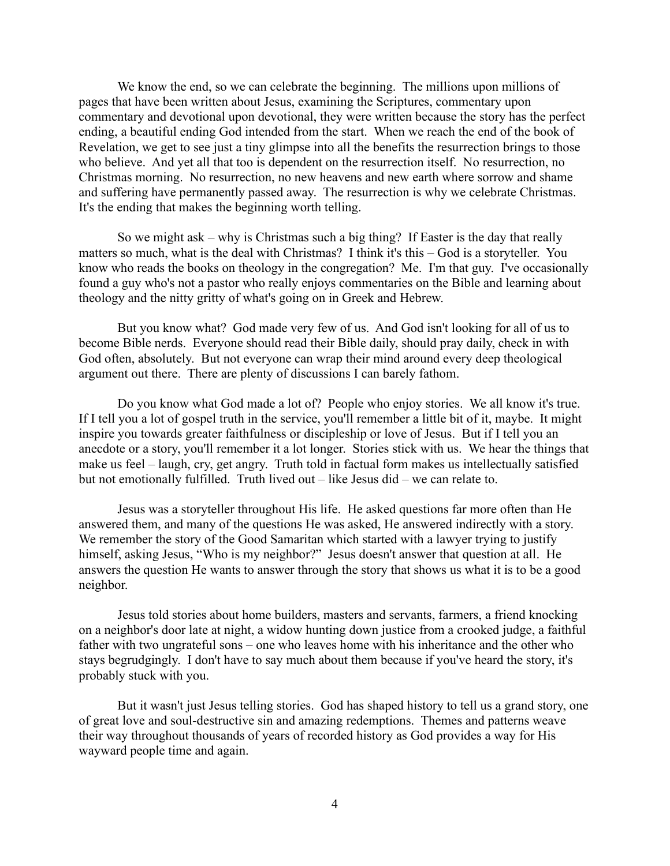We know the end, so we can celebrate the beginning. The millions upon millions of pages that have been written about Jesus, examining the Scriptures, commentary upon commentary and devotional upon devotional, they were written because the story has the perfect ending, a beautiful ending God intended from the start. When we reach the end of the book of Revelation, we get to see just a tiny glimpse into all the benefits the resurrection brings to those who believe. And yet all that too is dependent on the resurrection itself. No resurrection, no Christmas morning. No resurrection, no new heavens and new earth where sorrow and shame and suffering have permanently passed away. The resurrection is why we celebrate Christmas. It's the ending that makes the beginning worth telling.

So we might ask – why is Christmas such a big thing? If Easter is the day that really matters so much, what is the deal with Christmas? I think it's this – God is a storyteller. You know who reads the books on theology in the congregation? Me. I'm that guy. I've occasionally found a guy who's not a pastor who really enjoys commentaries on the Bible and learning about theology and the nitty gritty of what's going on in Greek and Hebrew.

But you know what? God made very few of us. And God isn't looking for all of us to become Bible nerds. Everyone should read their Bible daily, should pray daily, check in with God often, absolutely. But not everyone can wrap their mind around every deep theological argument out there. There are plenty of discussions I can barely fathom.

Do you know what God made a lot of? People who enjoy stories. We all know it's true. If I tell you a lot of gospel truth in the service, you'll remember a little bit of it, maybe. It might inspire you towards greater faithfulness or discipleship or love of Jesus. But if I tell you an anecdote or a story, you'll remember it a lot longer. Stories stick with us. We hear the things that make us feel – laugh, cry, get angry. Truth told in factual form makes us intellectually satisfied but not emotionally fulfilled. Truth lived out – like Jesus did – we can relate to.

Jesus was a storyteller throughout His life. He asked questions far more often than He answered them, and many of the questions He was asked, He answered indirectly with a story. We remember the story of the Good Samaritan which started with a lawyer trying to justify himself, asking Jesus, "Who is my neighbor?" Jesus doesn't answer that question at all. He answers the question He wants to answer through the story that shows us what it is to be a good neighbor.

Jesus told stories about home builders, masters and servants, farmers, a friend knocking on a neighbor's door late at night, a widow hunting down justice from a crooked judge, a faithful father with two ungrateful sons – one who leaves home with his inheritance and the other who stays begrudgingly. I don't have to say much about them because if you've heard the story, it's probably stuck with you.

But it wasn't just Jesus telling stories. God has shaped history to tell us a grand story, one of great love and soul-destructive sin and amazing redemptions. Themes and patterns weave their way throughout thousands of years of recorded history as God provides a way for His wayward people time and again.